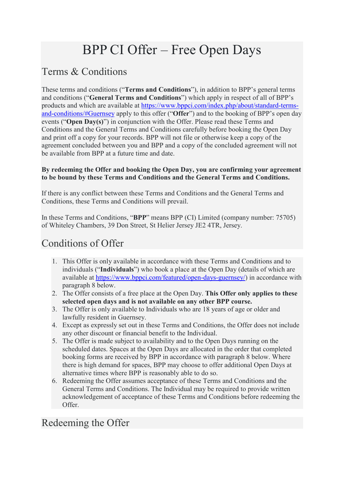# BPP CI Offer – Free Open Days

# Terms & Conditions

These terms and conditions ("**Terms and Conditions**"), in addition to BPP's general terms and conditions ("**General Terms and Conditions**") which apply in respect of all of BPP's products and which are available at [https://www.bppci.com/index.php/about/standard-terms](https://www.bppci.com/index.php/about/standard-terms-and-conditions/#Guernsey)[and-conditions/#Guernsey](https://www.bppci.com/index.php/about/standard-terms-and-conditions/#Guernsey) apply to this offer ("**Offer**") and to the booking of BPP's open day events ("**Open Day(s)**") in conjunction with the Offer. Please read these Terms and Conditions and the General Terms and Conditions carefully before booking the Open Day and print off a copy for your records. BPP will not file or otherwise keep a copy of the agreement concluded between you and BPP and a copy of the concluded agreement will not be available from BPP at a future time and date.

#### **By redeeming the Offer and booking the Open Day, you are confirming your agreement to be bound by these Terms and Conditions and the General Terms and Conditions.**

If there is any conflict between these Terms and Conditions and the General Terms and Conditions, these Terms and Conditions will prevail.

In these Terms and Conditions, "**BPP**" means BPP (CI) Limited (company number: 75705) of Whiteley Chambers, 39 Don Street, St Helier Jersey JE2 4TR, Jersey.

# Conditions of Offer

- 1. This Offer is only available in accordance with these Terms and Conditions and to individuals ("**Individuals**") who book a place at the Open Day (details of which are available at [https://www.bppci.com/featured/open-days-guernsey/\)](https://www.bppci.com/featured/open-days-guernsey/) in accordance with paragraph 8 below.
- 2. The Offer consists of a free place at the Open Day. **This Offer only applies to these selected open days and is not available on any other BPP course.**
- 3. The Offer is only available to Individuals who are 18 years of age or older and lawfully resident in Guernsey.
- 4. Except as expressly set out in these Terms and Conditions, the Offer does not include any other discount or financial benefit to the Individual.
- 5. The Offer is made subject to availability and to the Open Days running on the scheduled dates. Spaces at the Open Days are allocated in the order that completed booking forms are received by BPP in accordance with paragraph 8 below. Where there is high demand for spaces, BPP may choose to offer additional Open Days at alternative times where BPP is reasonably able to do so.
- 6. Redeeming the Offer assumes acceptance of these Terms and Conditions and the General Terms and Conditions. The Individual may be required to provide written acknowledgement of acceptance of these Terms and Conditions before redeeming the Offer.

## Redeeming the Offer